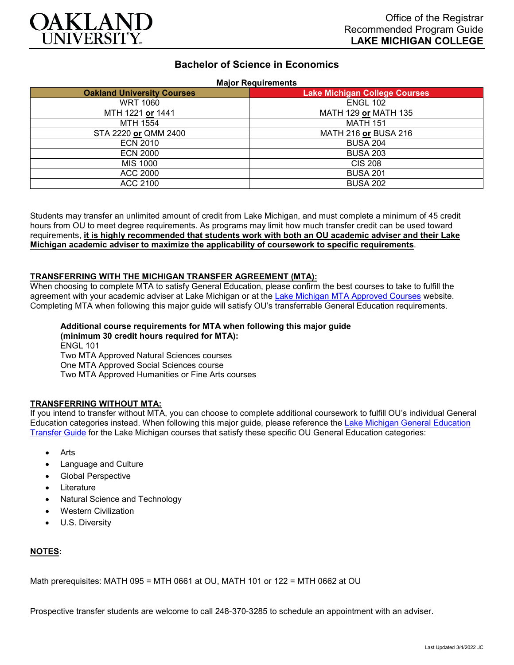

# **Bachelor of Science in Economics**

#### **Major Requirements**

| <b>Oakland University Courses</b> | <b>Lake Michigan College Courses</b> |
|-----------------------------------|--------------------------------------|
| <b>WRT 1060</b>                   | <b>ENGL 102</b>                      |
| MTH 1221 or 1441                  | MATH 129 or MATH 135                 |
| MTH 1554                          | <b>MATH 151</b>                      |
| STA 2220 or QMM 2400              | MATH 216 or BUSA 216                 |
| <b>ECN 2010</b>                   | <b>BUSA 204</b>                      |
| <b>ECN 2000</b>                   | <b>BUSA 203</b>                      |
| <b>MIS 1000</b>                   | <b>CIS 208</b>                       |
| <b>ACC 2000</b>                   | <b>BUSA 201</b>                      |
| ACC 2100                          | <b>BUSA 202</b>                      |

Students may transfer an unlimited amount of credit from Lake Michigan, and must complete a minimum of 45 credit hours from OU to meet degree requirements. As programs may limit how much transfer credit can be used toward requirements, **it is highly recommended that students work with both an OU academic adviser and their Lake Michigan academic adviser to maximize the applicability of coursework to specific requirements**.

#### **TRANSFERRING WITH THE MICHIGAN TRANSFER AGREEMENT (MTA):**

When choosing to complete MTA to satisfy General Education, please confirm the best courses to take to fulfill the agreement with your academic adviser at Lake Michigan or at the [Lake Michigan MTA Approved Courses](https://www.lakemichigancollege.edu/academics/educational-goals/transfer/transfer-information) website. Completing MTA when following this major guide will satisfy OU's transferrable General Education requirements.

## **Additional course requirements for MTA when following this major guide (minimum 30 credit hours required for MTA):** ENGL 101 Two MTA Approved Natural Sciences courses One MTA Approved Social Sciences course

Two MTA Approved Humanities or Fine Arts courses

### **TRANSFERRING WITHOUT MTA:**

If you intend to transfer without MTA, you can choose to complete additional coursework to fulfill OU's individual General Education categories instead. When following this major guide, please reference the [Lake Michigan General Education](https://www.oakland.edu/Assets/Oakland/program-guides/lake-michigan-college/university-general-education-requirements/Lake%20Michigan%20Gen%20Ed.pdf)  [Transfer Guide](https://www.oakland.edu/Assets/Oakland/program-guides/lake-michigan-college/university-general-education-requirements/Lake%20Michigan%20Gen%20Ed.pdf) for the Lake Michigan courses that satisfy these specific OU General Education categories:

- **Arts**
- Language and Culture
- Global Perspective
- **Literature**
- Natural Science and Technology
- Western Civilization
- U.S. Diversity

### **NOTES:**

Math prerequisites: MATH 095 = MTH 0661 at OU, MATH 101 or 122 = MTH 0662 at OU

Prospective transfer students are welcome to call 248-370-3285 to schedule an appointment with an adviser.